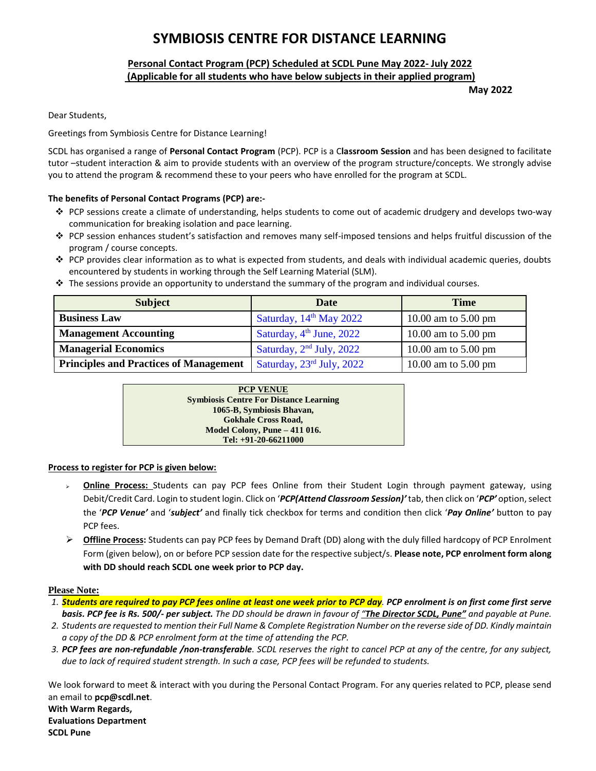# **SYMBIOSIS CENTRE FOR DISTANCE LEARNING**

## **Personal Contact Program (PCP) Scheduled at SCDL Pune May 2022- July 2022 (Applicable for all students who have below subjects in their applied program)**

**May 2022**

Dear Students,

### Greetings from Symbiosis Centre for Distance Learning!

SCDL has organised a range of **Personal Contact Program** (PCP). PCP is a C**lassroom Session** and has been designed to facilitate tutor –student interaction & aim to provide students with an overview of the program structure/concepts. We strongly advise you to attend the program & recommend these to your peers who have enrolled for the program at SCDL.

## **The benefits of Personal Contact Programs (PCP) are:-**

- PCP sessions create a climate of understanding, helps students to come out of academic drudgery and develops two-way communication for breaking isolation and pace learning.
- PCP session enhances student's satisfaction and removes many self-imposed tensions and helps fruitful discussion of the program / course concepts.
- $\bullet$  PCP provides clear information as to what is expected from students, and deals with individual academic queries, doubts encountered by students in working through the Self Learning Material (SLM).
- \* The sessions provide an opportunity to understand the summary of the program and individual courses.

| <b>Subject</b>                                | <b>Date</b>                | <b>Time</b>                   |
|-----------------------------------------------|----------------------------|-------------------------------|
| <b>Business Law</b>                           | Saturday, $14th$ May 2022  | 10.00 am to $5.00 \text{ pm}$ |
| <b>Management Accounting</b>                  | Saturday, $4th$ June, 2022 | 10.00 am to $5.00 \text{ pm}$ |
| <b>Managerial Economics</b>                   | Saturday, $2nd$ July, 2022 | 10.00 am to $5.00 \text{ pm}$ |
| <b>Principles and Practices of Management</b> | Saturday, 23rd July, 2022  | 10.00 am to $5.00 \text{ pm}$ |

| <b>PCP VENUE</b>                              |  |
|-----------------------------------------------|--|
| <b>Symbiosis Centre For Distance Learning</b> |  |
| 1065-B, Symbiosis Bhavan,                     |  |
| <b>Gokhale Cross Road,</b>                    |  |
| Model Colony, Pune - 411 016.                 |  |
| Tel: $+91-20-66211000$                        |  |

### **Process to register for PCP is given below:**

- **Online Process:** Students can pay PCP fees Online from their Student Login through payment gateway, using Debit/Credit Card. Login to student login. Click on '*PCP(Attend Classroom Session)'* tab, then click on '*PCP'* option, select the '*PCP Venue'* and '*subject'* and finally tick checkbox for terms and condition then click '*Pay Online'* button to pay PCP fees.
- **Offline Process:** Students can pay PCP fees by Demand Draft (DD) along with the duly filled hardcopy of PCP Enrolment Form (given below), on or before PCP session date for the respective subject/s. **Please note, PCP enrolment form along with DD should reach SCDL one week prior to PCP day.**

#### **Please Note:**

- *1. Students are required to pay PCP fees online at least one week prior to PCP day. PCP enrolment is on first come first serve basis. PCP fee is Rs. 500/- per subject. The DD should be drawn in favour of "The Director SCDL, Pune" and payable at Pune.*
- *2. Students are requested to mention their Full Name & Complete Registration Number on the reverse side of DD. Kindly maintain a copy of the DD & PCP enrolment form at the time of attending the PCP.*
- *3. PCP fees are non-refundable /non-transferable. SCDL reserves the right to cancel PCP at any of the centre, for any subject, due to lack of required student strength. In such a case, PCP fees will be refunded to students.*

We look forward to meet & interact with you during the Personal Contact Program. For any queries related to PCP, please send an email to **pcp@scdl.net**. **With Warm Regards, Evaluations Department SCDL Pune**